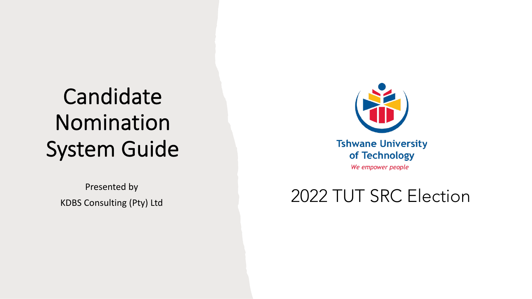## Candidate Nomination System Guide

Presented by



We empower people

### KDBS Consulting (Pty) Ltd 2022 TUT SRC Election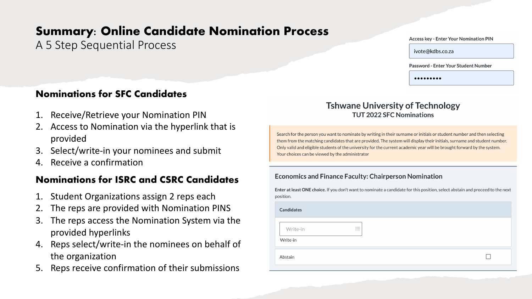#### **Summary: Online Candidate Nomination Process**

A 5 Step Sequential Process

#### **Access key - Enter Your Nomination PIN**

ivote@kdbs.co.za

Password - Enter Your Student Number

 $$ 

#### **Nominations for SFC Candidates**

- 1. Receive/Retrieve your Nomination PIN
- 2. Access to Nomination via the hyperlink that is provided
- 3. Select/write-in your nominees and submit
- 4. Receive a confirmation

#### **Nominations for ISRC and CSRC Candidates**

- 1. Student Organizations assign 2 reps each
- The reps are provided with Nomination PINS
- 3. The reps access the Nomination System via the provided hyperlinks
- 4. Reps select/write-in the nominees on behalf of the organization
- 5. Reps receive confirmation of their submissions

#### **Tshwane University of Technology TUT 2022 SFC Nominations**

Search for the person you want to nominate by writing in their surname or initials or student number and then selecting them from the matching candidates that are provided. The system will display their initials, surname and student number. Only valid and eligible students of the university for the current academic year will be brought forward by the system. Your choices can be viewed by the administrator

#### **Economics and Finance Faculty: Chairperson Nomination**

Enter at least ONE choice. If you don't want to nominate a candidate for this position, select abstain and proceed to the next position.

| <b>Candidates</b>                                  |  |
|----------------------------------------------------|--|
| $\sim$<br>Write-in<br>$\sim$<br>$\sim$<br>Write-in |  |
| Abstain                                            |  |
|                                                    |  |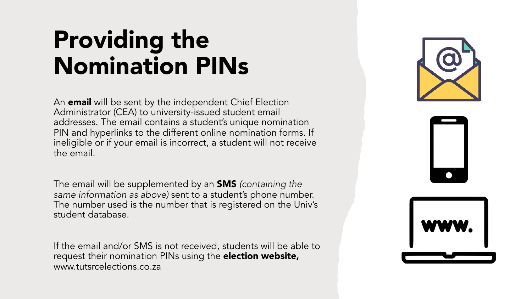## Providing the Nomination PINs

An **email** will be sent by the independent Chief Election Administrator (CEA) to university-issued student email addresses. The email contains a student's unique nomination PIN and hyperlinks to the different online nomination forms. If ineligible or if your email is incorrect, a student will not receive the email.

The email will be supplemented by an SMS *(containing the same information as above)* sent to a student's phone number. The number used is the number that is registered on the Univ's student database.

If the email and/or SMS is not received, students will be able to request their nomination PINs using the **election website,** www.tutsrcelections.co.za





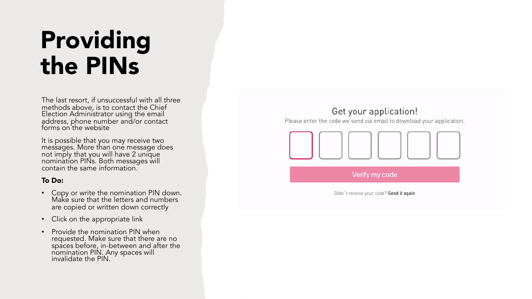## Providing the PINs

The last resort, if unsuccessful with all three methods above, is to contact the Chief Election Administrator using the email address, phone number and/or contact forms on the website

It is possible that you may receive two messages. More than one message does not imply that you will have 2 unique nomination PINs. Both messages will contain the same information.

#### To Do:

- Copy or write the nomination PIN down. Make sure that the letters and numbers are copied or written down correctly
- Click on the appropriate link
- Provide the nomination PIN when requested. Make sure that there are no spaces before, in-between and after the nomination PIN. Any spaces will invalidate the PIN.

#### Get your application!

Please enter the code we send via email to download your application.



Verify my code

Didn't receive your code? Send it again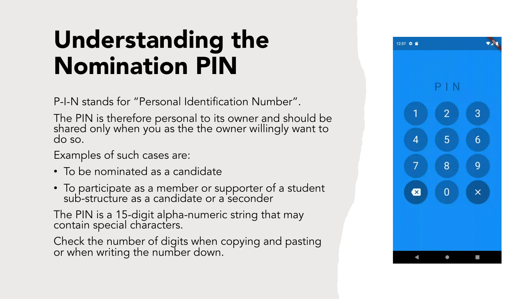## Understanding the Nomination PIN

P-I-N stands for "Personal Identification Number".

The PIN is therefore personal to its owner and should be shared only when you as the the owner willingly want to do so.

Examples of such cases are:

- To be nominated as a candidate
- To participate as a member or supporter of a student sub-structure as a candidate or a seconder

The PIN is a 15-digit alpha-numeric string that may contain special characters.

Check the number of digits when copying and pasting or when writing the number down.

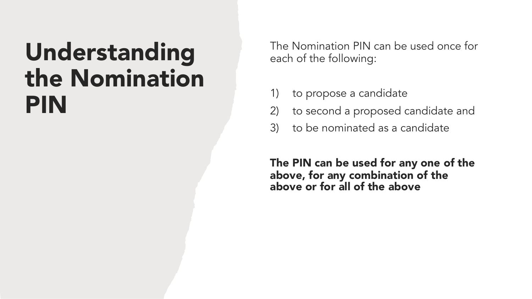## Understanding the Nomination PIN

The Nomination PIN can be used once for each of the following:

- 1) to propose a candidate
- 2) to second a proposed candidate and
- 3) to be nominated as a candidate

The PIN can be used for any one of the above, for any combination of the above or for all of the above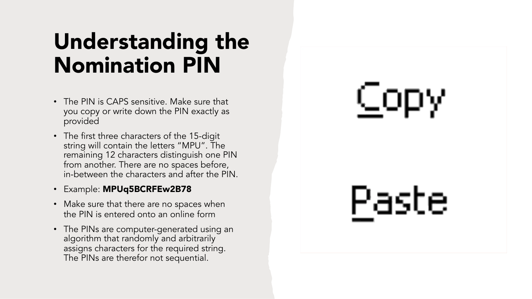## Understanding the Nomination PIN

- The PIN is CAPS sensitive. Make sure that you copy or write down the PIN exactly as provided
- The first three characters of the 15-digit string will contain the letters "MPU". The remaining 12 characters distinguish one PIN from another. There are no spaces before, in-between the characters and after the PIN.
- Example: MPUq5BCRFEw2B78
- Make sure that there are no spaces when the PIN is entered onto an online form
- The PINs are computer-generated using an algorithm that randomly and arbitrarily assigns characters for the required string. The PINs are therefor not sequential.

# Copy

Paste